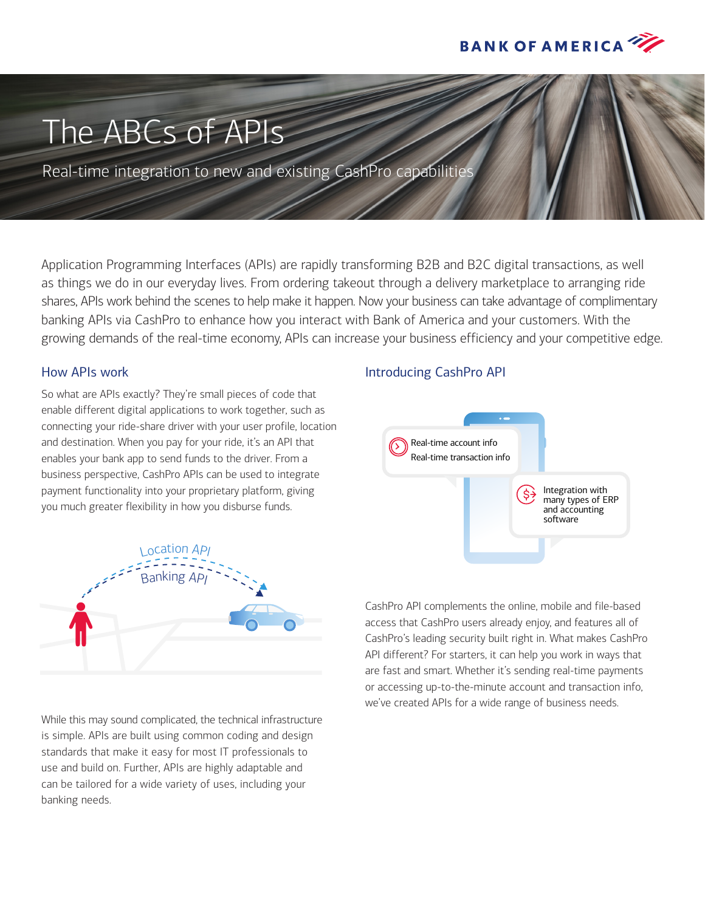

# The ABCs of APIs

Real-time integration to new and existing CashPro capabilities

Application Programming Interfaces (APIs) are rapidly transforming B2B and B2C digital transactions, as well as things we do in our everyday lives. From ordering takeout through a delivery marketplace to arranging ride shares, APIs work behind the scenes to help make it happen. Now your business can take advantage of complimentary banking APIs via CashPro to enhance how you interact with Bank of America and your customers. With the growing demands of the real-time economy, APIs can increase your business efficiency and your competitive edge.

# How APIs work

So what are APIs exactly? They're small pieces of code that enable different digital applications to work together, such as connecting your ride-share driver with your user profile, location and destination. When you pay for your ride, it's an API that enables your bank app to send funds to the driver. From a business perspective, CashPro APIs can be used to integrate payment functionality into your proprietary platform, giving you much greater flexibility in how you disburse funds.



While this may sound complicated, the technical infrastructure is simple. APIs are built using common coding and design standards that make it easy for most IT professionals to use and build on. Further, APIs are highly adaptable and can be tailored for a wide variety of uses, including your banking needs.

# Introducing CashPro API



CashPro API complements the online, mobile and file-based access that CashPro users already enjoy, and features all of CashPro's leading security built right in. What makes CashPro API different? For starters, it can help you work in ways that are fast and smart. Whether it's sending real-time payments or accessing up-to-the-minute account and transaction info, we've created APIs for a wide range of business needs.